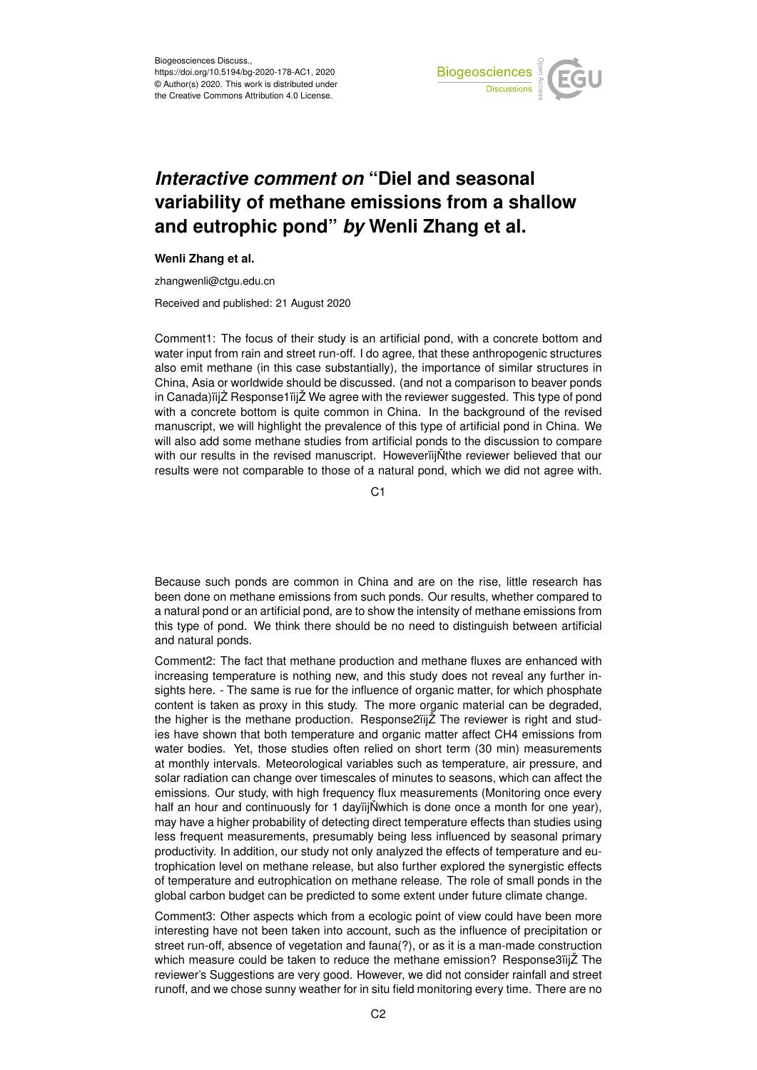

## *Interactive comment on* **"Diel and seasonal variability of methane emissions from a shallow and eutrophic pond"** *by* **Wenli Zhang et al.**

## **Wenli Zhang et al.**

zhangwenli@ctgu.edu.cn

Received and published: 21 August 2020

Comment1: The focus of their study is an artificial pond, with a concrete bottom and water input from rain and street run-off. I do agree, that these anthropogenic structures also emit methane (in this case substantially), the importance of similar structures in China, Asia or worldwide should be discussed. (and not a comparison to beaver ponds in Canada)iijZ Response1iijZ We agree with the reviewer suggested. This type of pond with a concrete bottom is quite common in China. In the background of the revised manuscript, we will highlight the prevalence of this type of artificial pond in China. We will also add some methane studies from artificial ponds to the discussion to compare with our results in the revised manuscript. HoweveriijNthe reviewer believed that our results were not comparable to those of a natural pond, which we did not agree with.

C<sub>1</sub>

Because such ponds are common in China and are on the rise, little research has been done on methane emissions from such ponds. Our results, whether compared to a natural pond or an artificial pond, are to show the intensity of methane emissions from this type of pond. We think there should be no need to distinguish between artificial and natural ponds.

Comment2: The fact that methane production and methane fluxes are enhanced with increasing temperature is nothing new, and this study does not reveal any further insights here. - The same is rue for the influence of organic matter, for which phosphate content is taken as proxy in this study. The more organic material can be degraded, the higher is the methane production. Response2ïijŽ The reviewer is right and studies have shown that both temperature and organic matter affect CH4 emissions from water bodies. Yet, those studies often relied on short term (30 min) measurements at monthly intervals. Meteorological variables such as temperature, air pressure, and solar radiation can change over timescales of minutes to seasons, which can affect the emissions. Our study, with high frequency flux measurements (Monitoring once every half an hour and continuously for 1 day $\ddot{\text{ii}}$  Number is done once a month for one year), may have a higher probability of detecting direct temperature effects than studies using less frequent measurements, presumably being less influenced by seasonal primary productivity. In addition, our study not only analyzed the effects of temperature and eutrophication level on methane release, but also further explored the synergistic effects of temperature and eutrophication on methane release. The role of small ponds in the global carbon budget can be predicted to some extent under future climate change.

Comment3: Other aspects which from a ecologic point of view could have been more interesting have not been taken into account, such as the influence of precipitation or street run-off, absence of vegetation and fauna(?), or as it is a man-made construction which measure could be taken to reduce the methane emission? Response3ïijŽ The reviewer's Suggestions are very good. However, we did not consider rainfall and street runoff, and we chose sunny weather for in situ field monitoring every time. There are no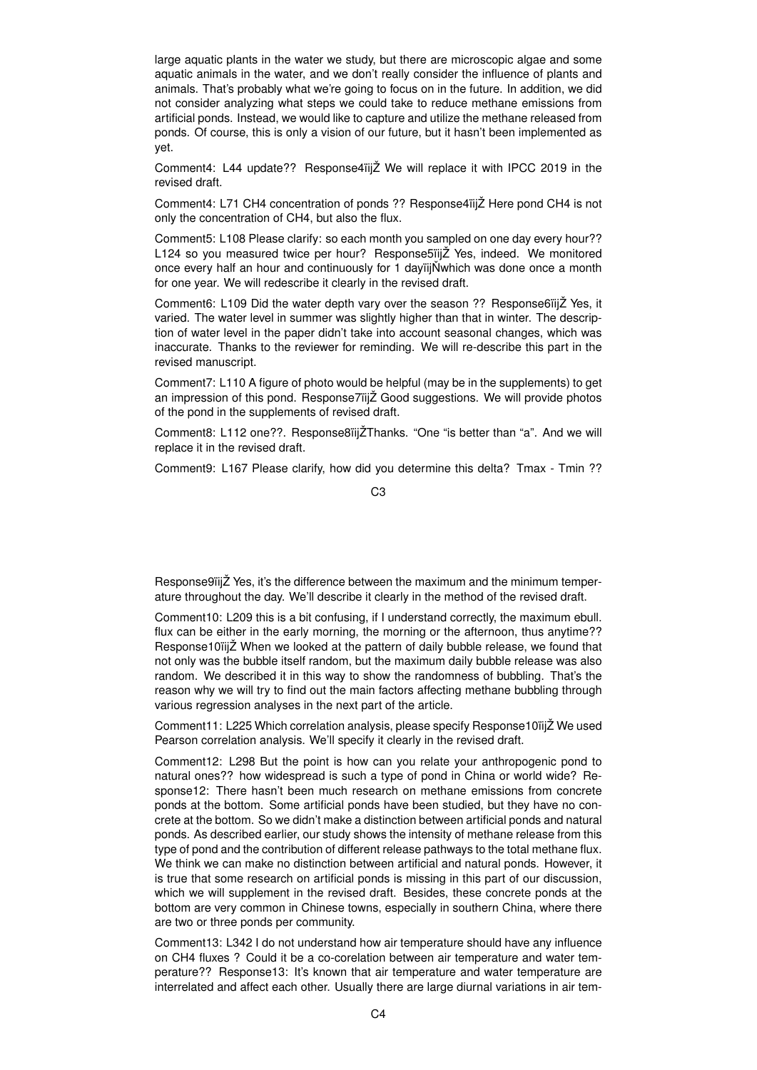large aquatic plants in the water we study, but there are microscopic algae and some aquatic animals in the water, and we don't really consider the influence of plants and animals. That's probably what we're going to focus on in the future. In addition, we did not consider analyzing what steps we could take to reduce methane emissions from artificial ponds. Instead, we would like to capture and utilize the methane released from ponds. Of course, this is only a vision of our future, but it hasn't been implemented as yet.

Comment4: L44 update?? Response4ïijŽ We will replace it with IPCC 2019 in the revised draft.

Comment4: L71 CH4 concentration of ponds ?? Response4ïijŽ Here pond CH4 is not only the concentration of CH4, but also the flux.

Comment5: L108 Please clarify: so each month you sampled on one day every hour?? L124 so you measured twice per hour? Response5ïijŽ Yes, indeed. We monitored once every half an hour and continuously for 1 dayiijNwhich was done once a month for one year. We will redescribe it clearly in the revised draft.

Comment6: L109 Did the water depth vary over the season ?? Response6ïijŽ Yes, it varied. The water level in summer was slightly higher than that in winter. The description of water level in the paper didn't take into account seasonal changes, which was inaccurate. Thanks to the reviewer for reminding. We will re-describe this part in the revised manuscript.

Comment7: L110 A figure of photo would be helpful (may be in the supplements) to get an impression of this pond. Response7ïijŽ Good suggestions. We will provide photos of the pond in the supplements of revised draft.

Comment8: L112 one??. Response8ïijŽThanks. "One "is better than "a". And we will replace it in the revised draft.

Comment9: L167 Please clarify, how did you determine this delta? Tmax - Tmin ??

C3

Response9ïijŽ Yes, it's the difference between the maximum and the minimum temperature throughout the day. We'll describe it clearly in the method of the revised draft.

Comment10: L209 this is a bit confusing, if I understand correctly, the maximum ebull. flux can be either in the early morning, the morning or the afternoon, thus anytime?? Response10ïijŽ When we looked at the pattern of daily bubble release, we found that not only was the bubble itself random, but the maximum daily bubble release was also random. We described it in this way to show the randomness of bubbling. That's the reason why we will try to find out the main factors affecting methane bubbling through various regression analyses in the next part of the article.

Comment11: L225 Which correlation analysis, please specify Response10ïijŽ We used Pearson correlation analysis. We'll specify it clearly in the revised draft.

Comment12: L298 But the point is how can you relate your anthropogenic pond to natural ones?? how widespread is such a type of pond in China or world wide? Response12: There hasn't been much research on methane emissions from concrete ponds at the bottom. Some artificial ponds have been studied, but they have no concrete at the bottom. So we didn't make a distinction between artificial ponds and natural ponds. As described earlier, our study shows the intensity of methane release from this type of pond and the contribution of different release pathways to the total methane flux. We think we can make no distinction between artificial and natural ponds. However, it is true that some research on artificial ponds is missing in this part of our discussion, which we will supplement in the revised draft. Besides, these concrete ponds at the bottom are very common in Chinese towns, especially in southern China, where there are two or three ponds per community.

Comment13: L342 I do not understand how air temperature should have any influence on CH4 fluxes ? Could it be a co-corelation between air temperature and water temperature?? Response13: It's known that air temperature and water temperature are interrelated and affect each other. Usually there are large diurnal variations in air tem